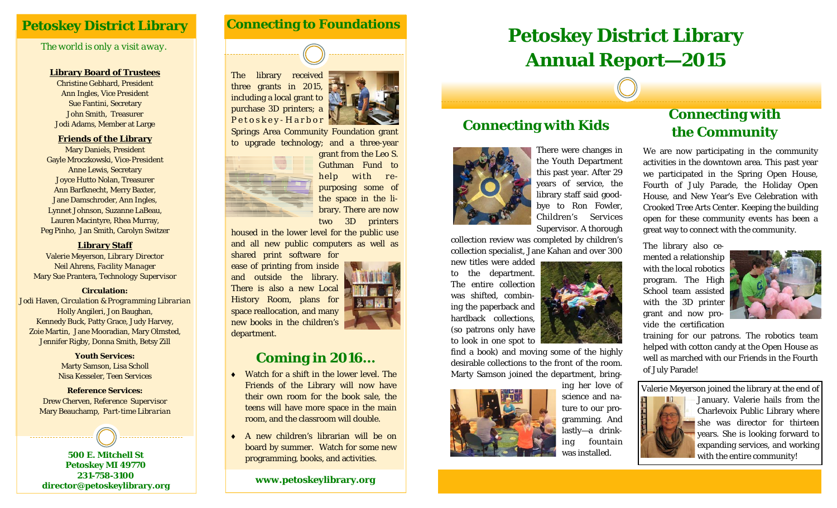## **Petoskey District Library**

### *The world is only a visit away.*

#### **Library Board of Trustees**

Christine Gebhard, President Ann Ingles, Vice President Sue Fantini, Secretary John Smith, Treasurer Jodi Adams, Member at Large

#### **Friends of the Library**

Mary Daniels, President Gayle Mroczkowski, Vice-President Anne Lewis, Secretary Joyce Hutto Nolan, Treasurer Ann Barfknecht, Merry Baxter, Jane Damschroder, Ann Ingles, Lynnet Johnson, Suzanne LaBeau, Lauren Macintyre, Rhea Murray, Peg Pinho, Jan Smith, Carolyn Switzer

#### **Library Staff**

Valerie Meyerson, *Library Director* Neil Ahrens, *Facility Manager* Mary Sue Prantera, *Technology Supervisor*

#### **Circulation:**

Jodi Haven, *Circulation & Programming Librarian*  Holly Angileri, Jon Baughan, Kennedy Buck, Patty Grace, Judy Harvey, Zoie Martin, Jane Mooradian, Mary Olmsted, Jennifer Rigby, Donna Smith, Betsy Zill

> **Youth Services:** Marty Samson, Lisa Scholl Nisa Kesseler, Teen Services

**Reference Services:** Drew Cherven, *Reference Supervisor*  Mary Beauchamp, *Part-time Librarian*

**500 E. Mitchell St Petoskey MI 49770 231-758-3100 director@petoskeylibrary.org** 

### **Connecting to Foundations**





Springs Area Community Foundation grant to upgrade technology; and a three-year



Guthman Fund to help with repurposing some of the space in the library. There are now

two 3D printers

housed in the lower level for the public use and all new public computers as well as shared print software for

ease of printing from inside and outside the library. There is also a new Local History Room, plans for space reallocation, and many new books in the children's department.

## **Coming in 2016...**

- ٠ Watch for a shift in the lower level. The Friends of the Library will now have their own room for the book sale, the teens will have more space in the main room, and the classroom will double.
- ٠ A new children's librarian will be on board by summer. Watch for some new programming, books, and activities.

**www.petoskeylibrary.org** 

# **Petoskey District Library Annual Report—2015**



There were changes in the Youth Department this past year. After 29 years of service, the library staff said goodbye to Ron Fowler, Children's Services Supervisor. A thorough

collection review was completed by children's collection specialist, Jane Kahan and over 300

**Connecting with Kids** 

new titles were added to the department. The entire collection was shifted, combining the paperback and hardback collections, (so patrons only have to look in one spot to

find a book) and moving some of the highly desirable collections to the front of the room. Marty Samson joined the department, bring-



ing her love of science and nature to our programming. And lastly—a drinking fountain was installed.

## **Connecting with the Community**

We are now participating in the community activities in the downtown area. This past year we participated in the Spring Open House, Fourth of July Parade, the Holiday Open House, and New Year's Eve Celebration with Crooked Tree Arts Center. Keeping the building open for these community events has been a great way to connect with the community.

The library also cemented a relationship with the local robotics program. The High School team assisted with the 3D printer grant and now provide the certification



training for our patrons. The robotics team helped with cotton candy at the Open House as well as marched with our Friends in the Fourth of July Parade!

Valerie Meyerson joined the library at the end of



January. Valerie hails from the Charlevoix Public Library where she was director for thirteen years. She is looking forward to expanding services, and working with the entire community!